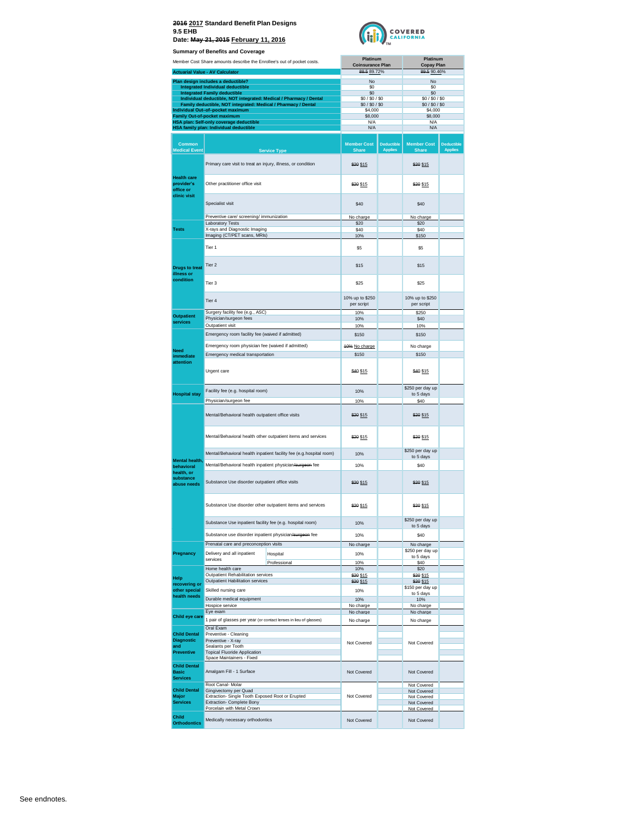

**Summary of Benefits and Co.** 

| Summary of Benefits and Coverage                              |                                                                                                                                      |                                     |                                     |                                    |                                     |
|---------------------------------------------------------------|--------------------------------------------------------------------------------------------------------------------------------------|-------------------------------------|-------------------------------------|------------------------------------|-------------------------------------|
|                                                               | Member Cost Share amounts describe the Enrollee's out of pocket costs.                                                               | Platinum<br><b>Coinsurance Plan</b> |                                     | Platinum<br><b>Copay Plan</b>      |                                     |
|                                                               | <b>Actuarial Value - AV Calculator</b>                                                                                               | 88.5 89.72%                         |                                     | 89.5 90.46%                        |                                     |
|                                                               | Plan design includes a deductible?                                                                                                   | No                                  |                                     | No                                 |                                     |
|                                                               | Integrated Individual deductible                                                                                                     | \$0                                 |                                     | \$0                                |                                     |
|                                                               | <b>Integrated Family deductible</b>                                                                                                  | \$0                                 |                                     | \$0                                |                                     |
|                                                               | Individual deductible, NOT integrated: Medical / Pharmacy / Dental<br>Family deductible, NOT integrated: Medical / Pharmacy / Dental | \$0/\$0/\$0<br>\$0/\$0/\$0          |                                     | \$0/\$0/\$0<br>\$0/\$0/\$0         |                                     |
|                                                               | Individual Out-of-pocket maximum                                                                                                     | \$4,000                             |                                     | \$4,000                            |                                     |
|                                                               | Family Out-of-pocket maximum                                                                                                         | \$8,000                             |                                     | \$8,000                            |                                     |
|                                                               | HSA plan: Self-only coverage deductible<br>HSA family plan: Individual deductible                                                    | N/A<br>N/A                          |                                     | N/A<br>Ν/Α                         |                                     |
|                                                               |                                                                                                                                      |                                     |                                     |                                    |                                     |
| Common<br><b>Medical Event</b>                                | <b>Service Type</b>                                                                                                                  | <b>Member Cost</b><br><b>Share</b>  | <b>Deductible</b><br><b>Applies</b> | <b>Member Cost</b><br><b>Share</b> | <b>Deductible</b><br><b>Applies</b> |
|                                                               | Primary care visit to treat an injury, illness, or condition                                                                         | \$20 \$15                           |                                     | \$20 \$15                          |                                     |
| <b>Health care</b><br>provider's<br>office or<br>clinic visit | Other practitioner office visit                                                                                                      | \$20 \$15                           |                                     | \$20 \$15                          |                                     |
|                                                               | Specialist visit                                                                                                                     | \$40                                |                                     | \$40                               |                                     |
|                                                               | Preventive care/ screening/ immunization                                                                                             | No charge                           |                                     | No charge                          |                                     |
|                                                               | Laboratory Tests                                                                                                                     | \$20                                |                                     | \$20                               |                                     |
| Tests                                                         | X-rays and Diagnostic Imaging<br>Imaging (CT/PET scans, MRIs)                                                                        | \$40<br>10%                         |                                     | \$40<br>\$150                      |                                     |
|                                                               | Tier 1                                                                                                                               | \$5                                 |                                     | \$5                                |                                     |
| <b>Drugs to treat</b><br>illness or<br>condition              | Tier 2                                                                                                                               | \$15                                |                                     | \$15                               |                                     |
|                                                               | Tier 3                                                                                                                               | \$25                                |                                     | \$25                               |                                     |
|                                                               | Tier 4                                                                                                                               | 10% up to \$250<br>per script       |                                     | 10% up to \$250<br>per script      |                                     |
|                                                               | Surgery facility fee (e.g., ASC)                                                                                                     | 10%                                 |                                     | \$250                              |                                     |
| <b>Outpatient</b><br>services                                 | Physician/surgeon fees                                                                                                               | 10%                                 |                                     | \$40                               |                                     |
|                                                               | Outpatient visit                                                                                                                     | 10%                                 |                                     | 10%                                |                                     |
|                                                               | Emergency room facility fee (waived if admitted)                                                                                     | \$150                               |                                     | \$150                              |                                     |
|                                                               | Emergency room physician fee (waived if admitted)                                                                                    | 40% No charge                       |                                     | No charge                          |                                     |
| <b>Need</b><br>immediate                                      | Emergency medical transportation                                                                                                     | \$150                               |                                     | \$150                              |                                     |
| attention                                                     |                                                                                                                                      |                                     |                                     |                                    |                                     |
|                                                               | Urgent care                                                                                                                          | \$40 \$15                           |                                     | \$40 \$15                          |                                     |
|                                                               | Facility fee (e.g. hospital room)                                                                                                    | 10%                                 |                                     | \$250 per day up                   |                                     |
| <b>Hospital stay</b>                                          | Physician/surgeon fee                                                                                                                | 10%                                 |                                     | to 5 days<br>\$40                  |                                     |
|                                                               | Mental/Behavioral health outpatient office visits                                                                                    | \$20 \$15                           |                                     | \$20 \$15                          |                                     |
|                                                               | Mental/Behavioral health other outpatient items and services                                                                         | \$20 \$15                           |                                     | \$20 \$15                          |                                     |
|                                                               | Mental/Behavioral health inpatient facility fee (e.g.hospital room)                                                                  | 10%                                 |                                     | \$250 per day up                   |                                     |
| <b>Mental health</b>                                          |                                                                                                                                      |                                     |                                     | to 5 days                          |                                     |
| behavioral<br>health, or                                      | Mental/Behavioral health inpatient physician/surgeon fee                                                                             | 10%                                 |                                     | \$40                               |                                     |
| substance<br>abuse needs                                      | Substance Use disorder outpatient office visits                                                                                      | \$20 \$15                           |                                     | \$20 \$15                          |                                     |
|                                                               | Substance Use disorder other outpatient items and services                                                                           | \$20 \$15                           |                                     | \$20 \$15                          |                                     |
|                                                               | Substance Use inpatient facility fee (e.g. hospital room)                                                                            | 10%                                 |                                     | \$250 per day up<br>to 5 days      |                                     |
|                                                               | Substance use disorder inpatient physician/surgeon fee                                                                               | 10%                                 |                                     | \$40                               |                                     |
|                                                               | Prenatal care and preconception visits                                                                                               | No charge                           |                                     | No charge                          |                                     |
| Pregnancy                                                     | Delivery and all inpatient<br>Hospital                                                                                               | 10%                                 |                                     | \$250 per day up                   |                                     |
|                                                               | services<br>Professional                                                                                                             | 10%                                 |                                     | to 5 days<br>\$40                  |                                     |
|                                                               | Home health care                                                                                                                     | 10%                                 |                                     | \$20                               |                                     |
| Help                                                          | Outpatient Rehabilitation services<br>Outpatient Habilitation services                                                               | \$20 \$15                           |                                     | \$20 \$15                          |                                     |
| recovering or                                                 | Skilled nursing care                                                                                                                 | \$20 \$15                           |                                     | \$20 \$15<br>\$150 per day up      |                                     |
| other special<br>health needs                                 |                                                                                                                                      | 10%                                 |                                     | to 5 days                          |                                     |
|                                                               | Durable medical equipment<br>Hospice service                                                                                         | 10%<br>No charge                    |                                     | 10%<br>No charge                   |                                     |
|                                                               | Eye exam                                                                                                                             | No charge                           |                                     | No charge                          |                                     |
| Child eye care                                                | 1 pair of glasses per year (or contact lenses in lieu of glasses)                                                                    | No charge                           |                                     | No charge                          |                                     |
|                                                               | Oral Exam                                                                                                                            |                                     |                                     |                                    |                                     |
| <b>Child Dental</b>                                           | Preventive - Cleaning                                                                                                                |                                     |                                     |                                    |                                     |
| <b>Diagnostic</b><br>and                                      | Preventive - X-ray<br>Sealants per Tooth                                                                                             | Not Covered                         |                                     | Not Covered                        |                                     |
| <b>Preventive</b>                                             | <b>Topical Fluoride Application</b>                                                                                                  |                                     |                                     |                                    |                                     |
|                                                               | Space Maintainers - Fixed                                                                                                            |                                     |                                     |                                    |                                     |
| <b>Child Dental</b><br><b>Basic</b><br><b>Services</b>        | Amalgam Fill - 1 Surface                                                                                                             | Not Covered                         |                                     | Not Covered                        |                                     |
|                                                               | Root Canal- Molar                                                                                                                    |                                     |                                     | Not Covered                        |                                     |
| <b>Child Dental</b><br><b>Major</b>                           | Gingivectomy per Quad<br>Extraction- Single Tooth Exposed Root or Erupted                                                            | Not Covered                         |                                     | Not Covered                        |                                     |
| <b>Services</b>                                               | Extraction- Complete Bony                                                                                                            |                                     |                                     | Not Covered<br>Not Covered         |                                     |
|                                                               | Porcelain with Metal Crown                                                                                                           |                                     |                                     | Not Covered                        |                                     |
| Child<br><b>Orthodontics</b>                                  | Medically necessary orthodontics                                                                                                     | Not Covered                         |                                     | Not Covered                        |                                     |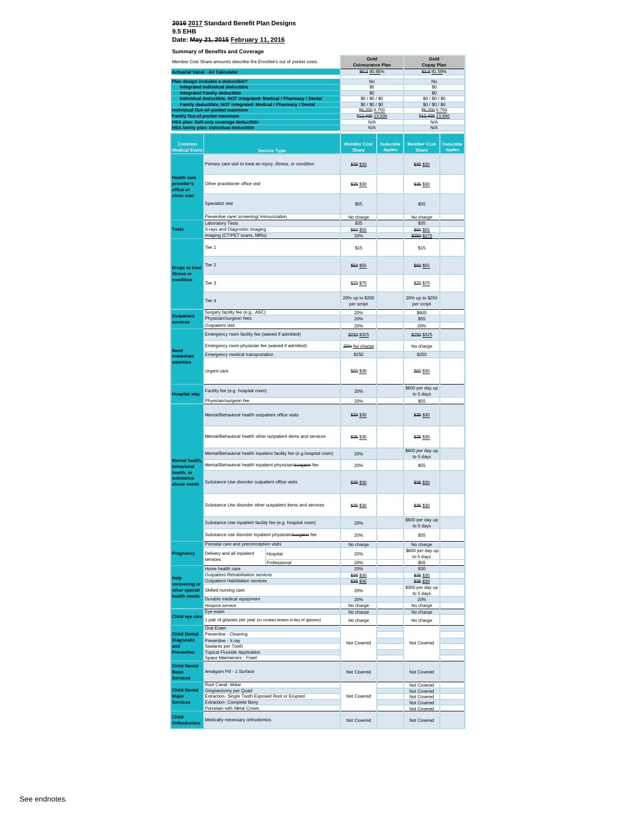#### **2016 2017 Standard Benefit Plan Designs 9.5 EHB**

**Date: May 21, 2015 February 11, 2016**

**Summary of Benefits and Coverage**

|                                                               | <b>Julian Deferits and Coverage</b>                                                                |                                                                     | Gold                               |                                     | Gold                               |                                     |
|---------------------------------------------------------------|----------------------------------------------------------------------------------------------------|---------------------------------------------------------------------|------------------------------------|-------------------------------------|------------------------------------|-------------------------------------|
|                                                               | Member Cost Share amounts describe the Enrollee's out of pocket costs.                             |                                                                     | <b>Coinsurance Plan</b>            |                                     | <b>Copay Plan</b>                  |                                     |
|                                                               | <b>Actuarial Value - AV Calculator</b>                                                             |                                                                     | 80.280.86%                         |                                     | 81.0 81.59%                        |                                     |
|                                                               | Plan design includes a deductible?                                                                 |                                                                     | No                                 |                                     | No                                 |                                     |
|                                                               | <b>Integrated Individual deductible</b><br><b>Integrated Family deductible</b>                     |                                                                     | \$0<br>\$0                         |                                     | \$0<br>\$0                         |                                     |
|                                                               | Individual deductible, NOT integrated: Medical / Pharmacy / Dental                                 |                                                                     | \$0/\$0/\$0                        |                                     | \$0/\$0/\$0                        |                                     |
|                                                               | Family deductible, NOT integrated: Medical / Pharmacy / Dental<br>Individual Out-of-pocket maximum |                                                                     | \$0/\$0/\$0<br>\$6,200 6,750       |                                     | \$0/\$0/\$0<br>\$6,200 6,750       |                                     |
|                                                               | <b>Family Out-of-pocket maximum</b>                                                                |                                                                     | \$42,400 13,500                    |                                     | \$12,400 13,500                    |                                     |
|                                                               | HSA plan: Self-only coverage deductible<br>HSA family plan: Individual deductible                  |                                                                     | N/A<br>N/A                         |                                     | N/A<br>N/A                         |                                     |
|                                                               |                                                                                                    |                                                                     |                                    |                                     |                                    |                                     |
| <b>Common</b><br><b>Medical Event</b>                         |                                                                                                    | <b>Service Type</b>                                                 | <b>Member Cost</b><br><b>Share</b> | <b>Deductible</b><br><b>Applies</b> | <b>Member Cost</b><br><b>Share</b> | <b>Deductible</b><br><b>Applies</b> |
|                                                               | Primary care visit to treat an injury, illness, or condition                                       |                                                                     | \$35 \$30                          |                                     | \$35 \$30                          |                                     |
| <b>Health care</b><br>provider's<br>office or<br>clinic visit | Other practitioner office visit                                                                    |                                                                     | \$35 \$30                          |                                     | \$35 \$30                          |                                     |
|                                                               | Specialist visit                                                                                   |                                                                     | \$55                               |                                     | \$55                               |                                     |
|                                                               | Preventive care/ screening/ immunization                                                           |                                                                     | No charge                          |                                     | No charge                          |                                     |
| <b>Tests</b>                                                  | Laboratory Tests<br>X-rays and Diagnostic Imaging                                                  |                                                                     | \$35<br>\$50 \$55                  |                                     | \$35<br>\$50 \$55                  |                                     |
|                                                               | Imaging (CT/PET scans, MRIs)                                                                       |                                                                     | 20%                                |                                     | \$250 \$275                        |                                     |
|                                                               | Tier 1                                                                                             |                                                                     | \$15                               |                                     | \$15                               |                                     |
| <b>Drugs to treat</b>                                         | Tier <sub>2</sub>                                                                                  |                                                                     | \$50 \$55                          |                                     | \$50 \$55                          |                                     |
| illness or<br>condition                                       | Tier <sub>3</sub>                                                                                  |                                                                     | \$70 \$75                          |                                     | \$70 \$75                          |                                     |
|                                                               | Tier <sub>4</sub>                                                                                  |                                                                     | 20% up to \$250<br>per script      |                                     | 20% up to \$250<br>per script      |                                     |
| <b>Outpatient</b>                                             | Surgery facility fee (e.g., ASC)                                                                   |                                                                     | 20%                                |                                     | \$600                              |                                     |
| services                                                      | Physician/surgeon fees                                                                             |                                                                     | 20%                                |                                     | \$55                               |                                     |
|                                                               | Outpatient visit                                                                                   |                                                                     | 20%                                |                                     | 20%                                |                                     |
|                                                               | Emergency room facility fee (waived if admitted)                                                   |                                                                     | \$250 \$325                        |                                     | \$250 \$325                        |                                     |
| <b>Need</b>                                                   | Emergency room physician fee (waived if admitted)                                                  |                                                                     | 20% No charge                      |                                     | No charge                          |                                     |
| immediate                                                     | Emergency medical transportation                                                                   |                                                                     | \$250                              |                                     | \$250                              |                                     |
| attention                                                     | Urgent care                                                                                        |                                                                     | \$60 \$30                          |                                     | \$60 \$30                          |                                     |
|                                                               | Facility fee (e.g. hospital room)                                                                  |                                                                     | 20%                                |                                     | \$600 per day up                   |                                     |
| <b>Hospital stay</b>                                          | Physician/surgeon fee                                                                              |                                                                     | 20%                                |                                     | to 5 days<br>\$55                  |                                     |
|                                                               | Mental/Behavioral health outpatient office visits                                                  |                                                                     | \$35 \$30                          |                                     | \$35 \$30                          |                                     |
|                                                               | Mental/Behavioral health other outpatient items and services                                       |                                                                     | \$35 \$30                          |                                     | \$35 \$30                          |                                     |
|                                                               |                                                                                                    | Mental/Behavioral health inpatient facility fee (e.g.hospital room) | 20%                                |                                     | \$600 per day up                   |                                     |
| Mental health.                                                |                                                                                                    |                                                                     |                                    |                                     | to 5 days                          |                                     |
| behavioral                                                    | Mental/Behavioral health inpatient physician/surgeon fee                                           |                                                                     | 20%                                |                                     | \$55                               |                                     |
| health, or<br>substance<br>abuse needs                        | Substance Use disorder outpatient office visits                                                    |                                                                     | \$35 \$30                          |                                     | \$35 \$30                          |                                     |
|                                                               | Substance Use disorder other outpatient items and services                                         |                                                                     | \$35 \$30                          |                                     | \$35 \$30                          |                                     |
|                                                               | Substance Use inpatient facility fee (e.g. hospital room)                                          |                                                                     | 20%                                |                                     | \$600 per day up<br>to 5 days      |                                     |
|                                                               | Substance use disorder inpatient physician/surgeon fee                                             |                                                                     | 20%                                |                                     | \$55                               |                                     |
|                                                               | Prenatal care and preconception visits                                                             |                                                                     | No charge                          |                                     | No charge                          |                                     |
| Pregnancy                                                     | Delivery and all inpatient                                                                         | Hospital                                                            | 20%                                |                                     | \$600 per day up                   |                                     |
|                                                               | services                                                                                           | Professional                                                        | 20%                                |                                     | to 5 days<br>\$55                  |                                     |
|                                                               | Home health care                                                                                   |                                                                     | 20%                                |                                     | \$30                               |                                     |
| Help                                                          | Outpatient Rehabilitation services<br>Outpatient Habilitation services                             |                                                                     | \$35 \$30<br>\$35 \$30             |                                     | \$35 \$30<br>\$35 \$30             |                                     |
| recovering or<br>other special                                | Skilled nursing care                                                                               |                                                                     | 20%                                |                                     | \$300 per day up                   |                                     |
| health needs                                                  | Durable medical equipment                                                                          |                                                                     | 20%                                |                                     | to 5 days<br>20%                   |                                     |
|                                                               | Hospice service                                                                                    |                                                                     | No charge                          |                                     | No charge                          |                                     |
| Child eye care                                                | Eye exam                                                                                           |                                                                     | No charge                          |                                     | No charge                          |                                     |
|                                                               | 1 pair of glasses per year (or contact lenses in lieu of glasses)                                  |                                                                     | No charge                          |                                     | No charge                          |                                     |
| <b>Child Dental</b>                                           | Oral Exam<br>Preventive - Cleaning                                                                 |                                                                     |                                    |                                     |                                    |                                     |
| <b>Diagnostic</b>                                             | Preventive - X-ray                                                                                 |                                                                     | Not Covered                        |                                     | Not Covered                        |                                     |
| and<br><b>Preventive</b>                                      | Sealants per Tooth<br><b>Topical Fluoride Application</b>                                          |                                                                     |                                    |                                     |                                    |                                     |
|                                                               | Space Maintainers - Fixed                                                                          |                                                                     |                                    |                                     |                                    |                                     |
| <b>Child Dental</b><br><b>Basic</b><br><b>Services</b>        | Amalgam Fill - 1 Surface                                                                           |                                                                     | Not Covered                        |                                     | Not Covered                        |                                     |
|                                                               | Root Canal- Molar                                                                                  |                                                                     |                                    |                                     | Not Covered                        |                                     |
| <b>Child Dental</b>                                           | Gingivectomy per Quad                                                                              |                                                                     |                                    |                                     | Not Covered                        |                                     |
| <b>Major</b><br><b>Services</b>                               | Extraction- Single Tooth Exposed Root or Erupted<br>Extraction- Complete Bony                      |                                                                     | Not Covered                        |                                     | Not Covered<br>Not Covered         |                                     |
|                                                               | Porcelain with Metal Crown                                                                         |                                                                     |                                    |                                     | Not Covered                        |                                     |
| Child<br><b>Orthodontics</b>                                  | Medically necessary orthodontics                                                                   |                                                                     | Not Covered                        |                                     | Not Covered                        |                                     |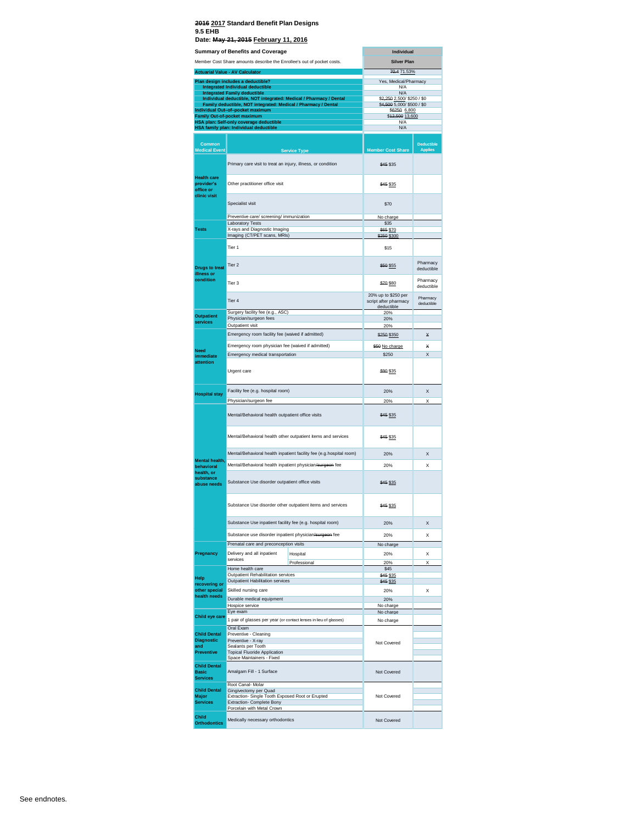|                                                        | <b>Summary of Benefits and Coverage</b>                                                            | Individual                                 |                                     |
|--------------------------------------------------------|----------------------------------------------------------------------------------------------------|--------------------------------------------|-------------------------------------|
|                                                        | Member Cost Share amounts describe the Enrollee's out of pocket costs.                             | <b>Silver Plan</b>                         |                                     |
|                                                        | <b>Actuarial Value - AV Calculator</b>                                                             | 70.4 71.53%                                |                                     |
|                                                        | Plan design includes a deductible?                                                                 | Yes, Medical/Pharmacy                      |                                     |
|                                                        | <b>Integrated Individual deductible</b><br><b>Integrated Family deductible</b>                     | N/A<br><b>N/A</b>                          |                                     |
|                                                        | Individual deductible, NOT integrated: Medical / Pharmacy / Dental                                 | \$2,250 2,500/ \$250 / \$0                 |                                     |
|                                                        | Family deductible, NOT integrated: Medical / Pharmacy / Dental<br>Individual Out-of-pocket maximum | \$4,500 5,000/ \$500 / \$0<br>\$6250 6,800 |                                     |
|                                                        | <b>Family Out-of-pocket maximum</b><br>HSA plan: Self-only coverage deductible                     | \$42,500 13,600<br>N/A                     |                                     |
|                                                        | HSA family plan: Individual deductible                                                             | N/A                                        |                                     |
|                                                        |                                                                                                    |                                            |                                     |
| Common<br><b>Medical Event</b>                         | <b>Service Type</b>                                                                                | <b>Member Cost Share</b>                   | <b>Deductible</b><br><b>Applies</b> |
|                                                        | Primary care visit to treat an injury, illness, or condition                                       | <b>\$45 \$35</b>                           |                                     |
| <b>Health care</b><br>provider's<br>office or          | Other practitioner office visit                                                                    | \$45 \$35                                  |                                     |
| clinic visit                                           | Specialist visit                                                                                   | \$70                                       |                                     |
|                                                        | Preventive care/ screening/ immunization                                                           | No charge<br>\$35                          |                                     |
| <b>Tests</b>                                           | <b>Laboratory Tests</b><br>X-rays and Diagnostic Imaging                                           | \$65 \$70                                  |                                     |
|                                                        | Imaging (CT/PET scans, MRIs)                                                                       | \$250 \$300                                |                                     |
|                                                        | Tier <sub>1</sub>                                                                                  | \$15                                       |                                     |
| <b>Drugs to treat</b><br>illness or                    | Tier <sub>2</sub>                                                                                  | \$50 \$55                                  | Pharmacy<br>deductible              |
| condition                                              | Tier <sub>3</sub>                                                                                  | \$70 \$80<br>20% up to \$250 per           | Pharmacy<br>deductible              |
|                                                        | Tier 4<br>Surgery facility fee (e.g., ASC)                                                         | script after pharmacy<br>deductible<br>20% | Pharmacy<br>deductible              |
| <b>Outpatient</b><br>services                          | Physician/surgeon fees                                                                             | 20%                                        |                                     |
|                                                        | Outpatient visit<br>Emergency room facility fee (waived if admitted)                               | 20%                                        |                                     |
|                                                        |                                                                                                    | \$250 \$350                                | $\times$                            |
| <b>Need</b>                                            | Emergency room physician fee (waived if admitted)<br>Emergency medical transportation              | \$50 No charge                             | ×<br>X                              |
| immediate<br>attention                                 | Urgent care                                                                                        | \$250<br>\$90 \$35                         |                                     |
| <b>Hospital stay</b>                                   | Facility fee (e.g. hospital room)                                                                  | 20%                                        | X                                   |
|                                                        | Physician/surgeon fee<br>Mental/Behavioral health outpatient office visits                         | 20%<br>\$45 \$35                           | X                                   |
|                                                        | Mental/Behavioral health other outpatient items and services                                       | \$45 \$35                                  |                                     |
|                                                        | Mental/Behavioral health inpatient facility fee (e.g.hospital room)                                | 20%                                        | X                                   |
| Mental health,                                         | Mental/Behavioral health inpatient physician/surgeon fee                                           |                                            |                                     |
| behavioral<br>health, or<br>substance                  | Substance Use disorder outpatient office visits                                                    | 20%<br>\$45 \$35                           | X                                   |
| abuse needs                                            |                                                                                                    |                                            |                                     |
|                                                        | Substance Use disorder other outpatient items and services                                         | \$45 \$35                                  |                                     |
|                                                        | Substance Use inpatient facility fee (e.g. hospital room)                                          | 20%                                        | X                                   |
|                                                        | Substance use disorder inpatient physician/surgeon fee                                             | 20%                                        | Χ                                   |
|                                                        | Prenatal care and preconception visits                                                             | No charge                                  |                                     |
| Pregnancy                                              | Delivery and all inpatient<br>Hospital<br>services                                                 | 20%                                        | X                                   |
|                                                        | Professional<br>Home health care                                                                   | 20%<br>\$45                                | X                                   |
| Help                                                   | Outpatient Rehabilitation services                                                                 | \$45 \$35                                  |                                     |
| recovering or<br>other special                         | Outpatient Habilitation services<br>Skilled nursing care                                           | \$45 \$35<br>20%                           | X                                   |
| health needs                                           | Durable medical equipment                                                                          | 20%                                        |                                     |
|                                                        | Hospice service                                                                                    | No charge                                  |                                     |
| Child eye care                                         | Eye exam<br>1 pair of glasses per year (or contact lenses in lieu of glasses)<br>Oral Exam         | No charge<br>No charge                     |                                     |
| <b>Child Dental</b><br><b>Diagnostic</b>               | Preventive - Cleaning<br>Preventive - X-ray                                                        |                                            |                                     |
| and                                                    | Sealants per Tooth                                                                                 | Not Covered                                |                                     |
| <b>Preventive</b>                                      | <b>Topical Fluoride Application</b><br>Space Maintainers - Fixed                                   |                                            |                                     |
| <b>Child Dental</b><br><b>Basic</b><br><b>Services</b> | Amalgam Fill - 1 Surface                                                                           | Not Covered                                |                                     |
|                                                        | Root Canal-Molar                                                                                   |                                            |                                     |
| <b>Child Dental</b><br><b>Major</b>                    | Gingivectomy per Quad<br>Extraction- Single Tooth Exposed Root or Erupted                          | Not Covered                                |                                     |
| <b>Services</b>                                        | Extraction- Complete Bony<br>Porcelain with Metal Crown                                            |                                            |                                     |
|                                                        |                                                                                                    | Not Covered                                |                                     |
| Child                                                  | Medically necessary orthodontics                                                                   |                                            |                                     |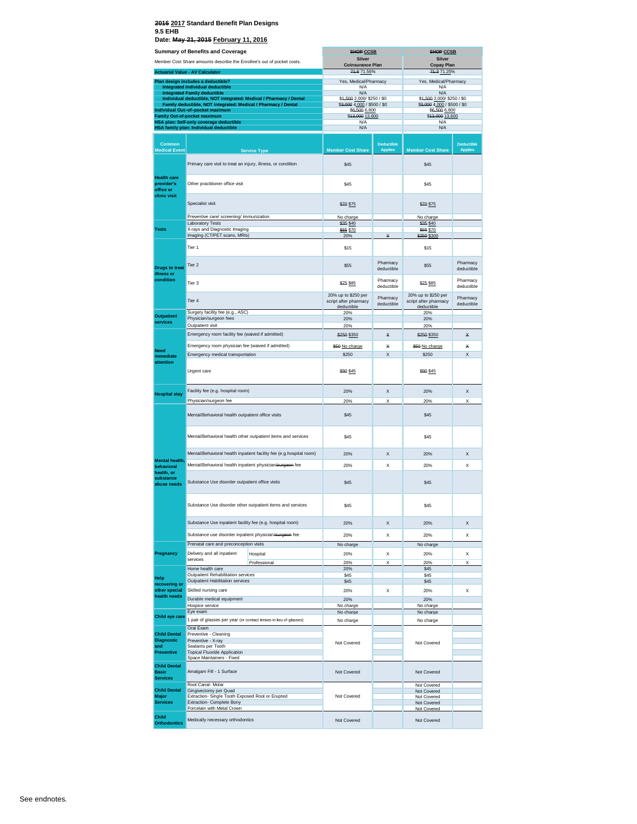|                                                        | Summary of Benefits and Coverage                                                                          | <b>SHOP CCSB</b>                             |                        | <b>SHOP CCSB</b>                             |                        |
|--------------------------------------------------------|-----------------------------------------------------------------------------------------------------------|----------------------------------------------|------------------------|----------------------------------------------|------------------------|
|                                                        |                                                                                                           |                                              |                        |                                              |                        |
|                                                        | Member Cost Share amounts describe the Enrollee's out of pocket costs.                                    | <b>Silver</b><br><b>Coinsurance Plan</b>     |                        | <b>Silver</b><br><b>Copay Plan</b>           |                        |
|                                                        | <b>Actuarial Value - AV Calculator</b>                                                                    | 74.6 71.56%                                  |                        | 74.371.25%                                   |                        |
|                                                        |                                                                                                           |                                              |                        |                                              |                        |
|                                                        | Plan design includes a deductible?                                                                        | Yes, Medical/Pharmacy                        |                        | Yes, Medical/Pharmacy                        |                        |
|                                                        | Integrated Individual deductible                                                                          | N/A<br>N/A                                   |                        | N/A<br>N/A                                   |                        |
|                                                        | <b>Integrated Family deductible</b><br>Individual deductible, NOT integrated: Medical / Pharmacy / Dental | \$4,500 2,000/ \$250 / \$0                   |                        | \$4,500 2,000/ \$250 / \$0                   |                        |
|                                                        | Family deductible, NOT integrated: Medical / Pharmacy / Dental                                            | \$3,000 4,000 / \$500 / \$0                  |                        | \$3,000 4,000 / \$500 / \$0                  |                        |
|                                                        | Individual Out-of-pocket maximum                                                                          | \$6,500 6,800                                |                        | \$6,500 6,800                                |                        |
|                                                        | <b>Family Out-of-pocket maximum</b>                                                                       | \$43,000 13,600                              |                        | \$43,000 13,600                              |                        |
|                                                        | HSA plan: Self-only coverage deductible                                                                   | N/A                                          |                        | N/A                                          |                        |
|                                                        | HSA family plan: Individual deductible                                                                    | <b>N/A</b>                                   |                        | N/A                                          |                        |
|                                                        |                                                                                                           |                                              |                        |                                              |                        |
|                                                        |                                                                                                           |                                              |                        |                                              |                        |
| Common                                                 |                                                                                                           |                                              | <b>Deductible</b>      |                                              | <b>Deductible</b>      |
| <b>Medical Event</b>                                   | <b>Service Type</b>                                                                                       | <b>Member Cost Share</b>                     | <b>Applies</b>         | <b>Member Cost Share</b>                     | <b>Applies</b>         |
|                                                        | Primary care visit to treat an injury, illness, or condition                                              | \$45                                         |                        | \$45                                         |                        |
| <b>Health care</b><br>provider's<br>office or          | Other practitioner office visit                                                                           | \$45                                         |                        | \$45                                         |                        |
| clinic visit                                           | Specialist visit                                                                                          | \$70 \$75                                    |                        | \$70 \$75                                    |                        |
|                                                        |                                                                                                           |                                              |                        |                                              |                        |
|                                                        | Preventive care/ screening/ immunization                                                                  | No charge                                    |                        | No charge                                    |                        |
|                                                        | <b>Laboratory Tests</b>                                                                                   | \$35 \$40                                    |                        | \$35 \$40                                    |                        |
| <b>Tests</b>                                           | X-rays and Diagnostic Imaging                                                                             | \$65 \$70                                    |                        | \$65 \$70                                    |                        |
|                                                        | Imaging (CT/PET scans, MRIs)                                                                              | 20%                                          | ×                      | \$250 \$300                                  |                        |
|                                                        | Tier 1                                                                                                    | \$15                                         |                        | \$15                                         |                        |
| <b>Drugs to treat</b><br>illness or                    | Tier 2                                                                                                    | \$55                                         | Pharmacy<br>deductible | \$55                                         | Pharmacy<br>deductible |
| condition                                              | Tier 3                                                                                                    | \$75 \$85                                    | Pharmacy<br>deductible | \$75 \$85                                    | Pharmacy<br>deductible |
|                                                        | Tier 4                                                                                                    | 20% up to \$250 per<br>script after pharmacy | Pharmacy<br>deductible | 20% up to \$250 per<br>script after pharmacy | Pharmacy<br>deductible |
|                                                        | Surgery facility fee (e.g., ASC)                                                                          | deductible<br>20%                            |                        | deductible<br>20%                            |                        |
| <b>Outpatient</b>                                      | Physician/surgeon fees                                                                                    | 20%                                          |                        | 20%                                          |                        |
| services                                               |                                                                                                           |                                              |                        |                                              |                        |
|                                                        | Outpatient visit                                                                                          | 20%                                          |                        | 20%                                          |                        |
|                                                        | Emergency room facility fee (waived if admitted)                                                          | \$250 \$350                                  | ¥                      | \$250 \$350                                  | ¥                      |
|                                                        |                                                                                                           |                                              |                        |                                              |                        |
|                                                        | Emergency room physician fee (waived if admitted)                                                         | \$50 No charge                               | ¥                      | \$50 No charge                               | Х                      |
| Need                                                   | Emergency medical transportation                                                                          |                                              |                        |                                              |                        |
| immediate                                              |                                                                                                           | \$250                                        | X                      | \$250                                        | X                      |
| attention                                              |                                                                                                           |                                              |                        |                                              |                        |
|                                                        | Urgent care                                                                                               | \$90 \$45                                    |                        | \$90 \$45                                    |                        |
|                                                        |                                                                                                           |                                              |                        |                                              |                        |
| <b>Hospital stay</b>                                   | Facility fee (e.g. hospital room)                                                                         | 20%                                          | X                      | 20%                                          | X                      |
|                                                        | Physician/surgeon fee                                                                                     | 20%                                          | X                      | 20%                                          | Х                      |
|                                                        | Mental/Behavioral health outpatient office visits                                                         | \$45                                         |                        | \$45                                         |                        |
|                                                        | Mental/Behavioral health other outpatient items and services                                              | \$45                                         |                        | \$45                                         |                        |
|                                                        | Mental/Behavioral health inpatient facility fee (e.g.hospital room)                                       |                                              |                        |                                              |                        |
|                                                        |                                                                                                           | 20%                                          | X                      | 20%                                          | x                      |
| Mental health.                                         | Mental/Behavioral health inpatient physician/surgeon fee                                                  | 20%                                          | Χ                      | 20%                                          | X                      |
| behavioral<br>health, or<br>substance<br>abuse needs   | Substance Use disorder outpatient office visits                                                           | \$45                                         |                        | \$45                                         |                        |
|                                                        | Substance Use disorder other outpatient items and services                                                | \$45                                         |                        | \$45                                         |                        |
|                                                        |                                                                                                           |                                              |                        |                                              |                        |
|                                                        | Substance Use inpatient facility fee (e.g. hospital room)                                                 | 20%                                          | X                      | 20%                                          | x                      |
|                                                        | Substance use disorder inpatient physician/surgeon fee                                                    | 20%                                          | Х                      | 20%                                          | х                      |
|                                                        |                                                                                                           |                                              |                        |                                              |                        |
|                                                        | Prenatal care and preconception visits                                                                    | No charge                                    |                        | No charge                                    |                        |
| Pregnancy                                              | Delivery and all inpatient<br>Hospital                                                                    | 20%                                          | Х                      | 20%                                          | х                      |
|                                                        | services                                                                                                  |                                              |                        |                                              |                        |
|                                                        | Professional                                                                                              | 20%                                          | X                      | 20%                                          | X                      |
|                                                        | Home health care                                                                                          | 20%                                          |                        | \$45                                         |                        |
| Help                                                   | Outpatient Rehabilitation services                                                                        | \$45                                         |                        | \$45                                         |                        |
| recovering or                                          | Outpatient Habilitation services                                                                          | \$45                                         |                        | \$45                                         |                        |
| other special                                          | Skilled nursing care                                                                                      | 20%                                          | X                      | 20%                                          | x                      |
| health needs                                           |                                                                                                           |                                              |                        |                                              |                        |
|                                                        | Durable medical equipment                                                                                 | 20%                                          |                        | 20%                                          |                        |
|                                                        | Hospice service                                                                                           | No charge                                    |                        | No charge                                    |                        |
|                                                        | Eye exam                                                                                                  | No charge                                    |                        | No charge                                    |                        |
| Child eye care                                         | 1 pair of glasses per year (or contact lenses in lieu of glasses)                                         | No charge                                    |                        | No charge                                    |                        |
|                                                        | Oral Exam                                                                                                 |                                              |                        |                                              |                        |
| <b>Child Dental</b>                                    |                                                                                                           |                                              |                        |                                              |                        |
|                                                        | Preventive - Cleaning                                                                                     |                                              |                        |                                              |                        |
| <b>Diagnostic</b>                                      | Preventive - X-ray                                                                                        | Not Covered                                  |                        | Not Covered                                  |                        |
| and                                                    | Sealants per Tooth                                                                                        |                                              |                        |                                              |                        |
| <b>Preventive</b>                                      | <b>Topical Fluoride Application</b>                                                                       |                                              |                        |                                              |                        |
|                                                        | Space Maintainers - Fixed                                                                                 |                                              |                        |                                              |                        |
| <b>Child Dental</b><br><b>Basic</b><br><b>Services</b> | Amalgam Fill - 1 Surface                                                                                  | Not Covered                                  |                        | Not Covered                                  |                        |
|                                                        | Root Canal- Molar                                                                                         |                                              |                        |                                              |                        |
| <b>Child Dental</b>                                    | Gingivectomy per Quad                                                                                     |                                              |                        | Not Covered<br>Not Covered                   |                        |
| Major                                                  | Extraction- Single Tooth Exposed Root or Erupted                                                          | Not Covered                                  |                        | Not Covered                                  |                        |
| <b>Services</b>                                        | Extraction- Complete Bony                                                                                 |                                              |                        | Not Covered                                  |                        |
|                                                        | Porcelain with Metal Crown                                                                                |                                              |                        | Not Covered                                  |                        |
|                                                        |                                                                                                           |                                              |                        |                                              |                        |
| <b>Child</b><br><b>Orthodontics</b>                    | Medically necessary orthodontics                                                                          | Not Covered                                  |                        | Not Covered                                  |                        |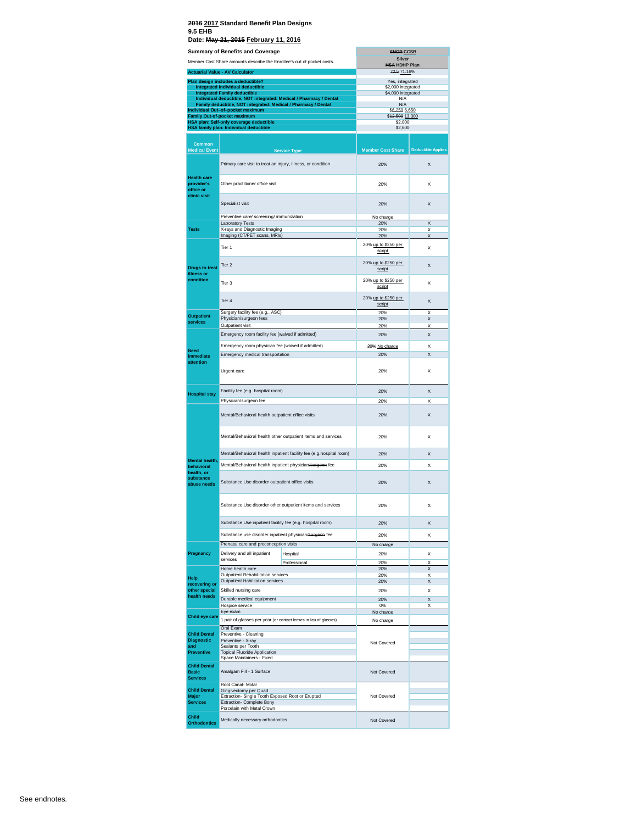|                                                               | Date: May 21, 2015 February 11, 2016                                                                                                                |                                                            |                                       |                           |
|---------------------------------------------------------------|-----------------------------------------------------------------------------------------------------------------------------------------------------|------------------------------------------------------------|---------------------------------------|---------------------------|
|                                                               | <b>Summary of Benefits and Coverage</b>                                                                                                             |                                                            | <b>SHOP CCSB</b><br><b>Silver</b>     |                           |
|                                                               | Member Cost Share amounts describe the Enrollee's out of pocket costs.                                                                              |                                                            | <b>HSA HDHP Plan</b>                  |                           |
|                                                               | <b>Actuarial Value - AV Calculator</b>                                                                                                              |                                                            | 70.5 71.16%                           |                           |
|                                                               | Plan design includes a deductible?<br>Integrated Individual deductible                                                                              |                                                            | Yes, integrated<br>\$2,000 integrated |                           |
|                                                               | <b>Integrated Family deductible</b>                                                                                                                 |                                                            | \$4,000 integrated                    |                           |
|                                                               | Individual deductible, NOT integrated: Medical / Pharmacy / Dental<br>Family deductible, NOT integrated: Medical / Pharmacy / Dental                |                                                            | N/A<br>N/A                            |                           |
|                                                               | Individual Out-of-pocket maximum<br><b>Family Out-of-pocket maximum</b>                                                                             |                                                            | \$6,250 6,650<br>\$42,500 13,300      |                           |
|                                                               | HSA plan: Self-only coverage deductible<br>HSA family plan: Individual deductible                                                                   |                                                            | \$2,000<br>\$2,600                    |                           |
|                                                               |                                                                                                                                                     |                                                            |                                       |                           |
| <b>Common</b><br><b>Medical Event</b>                         |                                                                                                                                                     | <b>Service Type</b>                                        | <b>Member Cost Share</b>              | <b>Deductible Applies</b> |
|                                                               | Primary care visit to treat an injury, illness, or condition                                                                                        |                                                            | 20%                                   | X                         |
| <b>Health care</b><br>provider's<br>office or<br>clinic visit | Other practitioner office visit                                                                                                                     |                                                            | 20%                                   | X                         |
|                                                               | Specialist visit                                                                                                                                    |                                                            | 20%                                   | X                         |
|                                                               | Preventive care/ screening/ immunization<br>Laboratory Tests                                                                                        |                                                            | No charge<br>20%                      | X                         |
| <b>Tests</b>                                                  | X-rays and Diagnostic Imaging                                                                                                                       |                                                            | 20%                                   | X                         |
|                                                               | Imaging (CT/PET scans, MRIs)                                                                                                                        |                                                            | 20%                                   | X                         |
|                                                               | Tier 1                                                                                                                                              |                                                            | 20% up to \$250 per<br>script         | Χ                         |
| <b>Drugs to treat</b><br>illness or                           | Tier <sub>2</sub>                                                                                                                                   |                                                            | 20% up to \$250 per<br>script         | X                         |
| condition                                                     | Tier 3                                                                                                                                              | 20% up to \$250 per<br>script                              | Χ                                     |                           |
|                                                               | Tier 4                                                                                                                                              | 20% up to \$250 per<br>script                              | X                                     |                           |
| <b>Outpatient</b>                                             | Surgery facility fee (e.g., ASC)<br>Physician/surgeon fees                                                                                          |                                                            | 20%<br>20%                            | X<br>X                    |
| services                                                      | Outpatient visit                                                                                                                                    |                                                            | 20%                                   | X                         |
|                                                               | Emergency room facility fee (waived if admitted)                                                                                                    |                                                            | 20%                                   | X                         |
|                                                               | Emergency room physician fee (waived if admitted)                                                                                                   |                                                            | 20% No charge                         | X                         |
| Need<br>immediate                                             | Emergency medical transportation                                                                                                                    |                                                            | 20%                                   | X                         |
| attention                                                     | Urgent care                                                                                                                                         |                                                            | 20%                                   | X                         |
| <b>Hospital stay</b>                                          | Facility fee (e.g. hospital room)                                                                                                                   |                                                            | 20%                                   | X                         |
|                                                               | Physician/surgeon fee<br>Mental/Behavioral health outpatient office visits                                                                          |                                                            | 20%<br>20%                            | X<br>X                    |
|                                                               | Mental/Behavioral health other outpatient items and services                                                                                        |                                                            | 20%                                   | x                         |
|                                                               | Mental/Behavioral health inpatient facility fee (e.g.hospital room)                                                                                 |                                                            | 20%                                   | X                         |
| Mental health,                                                | Mental/Behavioral health inpatient physician/surgeon fee                                                                                            |                                                            | 20%                                   | X                         |
| behavioral<br>health, or<br>substance                         | Substance Use disorder outpatient office visits                                                                                                     |                                                            | 20%                                   | X                         |
|                                                               |                                                                                                                                                     |                                                            |                                       |                           |
|                                                               |                                                                                                                                                     | Substance Use disorder other outpatient items and services | 20%                                   | x                         |
|                                                               | Substance Use inpatient facility fee (e.g. hospital room)                                                                                           |                                                            | 20%                                   | X                         |
|                                                               | Substance use disorder inpatient physician/surgeon fee                                                                                              |                                                            | 20%                                   | x                         |
|                                                               | Prenatal care and preconception visits                                                                                                              |                                                            | No charge                             |                           |
| Pregnancy                                                     | Delivery and all inpatient<br>services                                                                                                              | Hospital                                                   | 20%                                   | X                         |
|                                                               | Home health care                                                                                                                                    | Professional                                               | 20%<br>20%                            | X<br>X                    |
| Help                                                          | Outpatient Rehabilitation services<br>Outpatient Habilitation services                                                                              |                                                            | 20%<br>20%                            | X<br>X                    |
| recovering or<br>other special                                | Skilled nursing care                                                                                                                                |                                                            | 20%                                   | Χ                         |
| health needs                                                  | Durable medical equipment                                                                                                                           |                                                            | 20%                                   | X                         |
|                                                               | Hospice service                                                                                                                                     |                                                            | 0%                                    | X                         |
| Child eye care                                                | Eye exam                                                                                                                                            |                                                            | No charge<br>No charge                |                           |
| <b>Child Dental</b>                                           | 1 pair of glasses per year (or contact lenses in lieu of glasses)<br>Oral Exam<br>Preventive - Cleaning<br>Preventive - X-ray<br>Sealants per Tooth |                                                            |                                       |                           |
| <b>Diagnostic</b><br>and                                      |                                                                                                                                                     |                                                            | Not Covered                           |                           |
| <b>Preventive</b>                                             | <b>Topical Fluoride Application</b><br>Space Maintainers - Fixed                                                                                    |                                                            |                                       |                           |
| <b>Child Dental</b><br><b>Basic</b><br><b>Services</b>        | Amalgam Fill - 1 Surface                                                                                                                            |                                                            | Not Covered                           |                           |
|                                                               | Root Canal-Molar                                                                                                                                    |                                                            |                                       |                           |
| <b>Child Dental</b><br><b>Major</b><br><b>Services</b>        | Gingivectomy per Quad<br>Extraction- Single Tooth Exposed Root or Erupted<br>Extraction- Complete Bony                                              |                                                            | Not Covered                           |                           |
|                                                               | Porcelain with Metal Crown                                                                                                                          |                                                            |                                       |                           |
| Child<br><b>Orthodontics</b>                                  | Medically necessary orthodontics                                                                                                                    |                                                            | Not Covered                           |                           |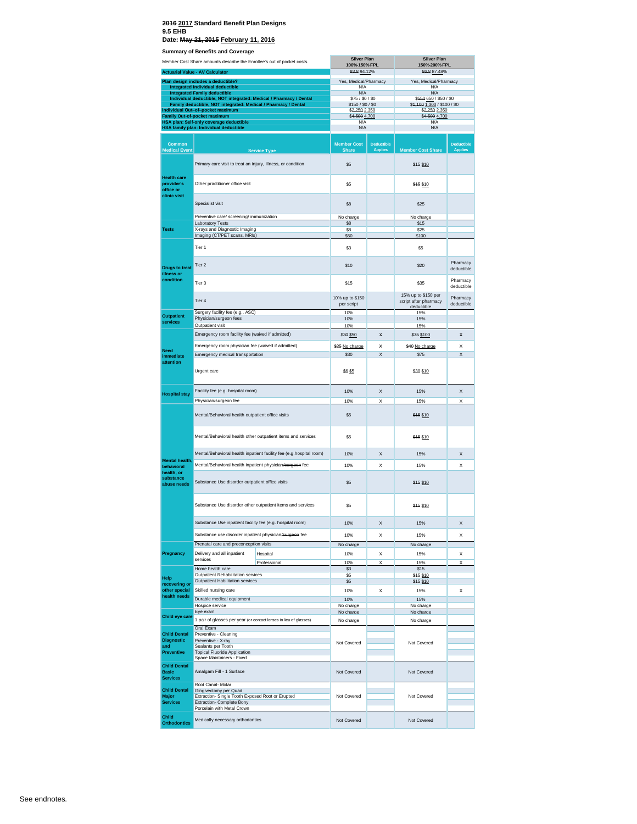#### **2016 2017 Standard Benefit Plan Designs 9.5 EHB**

**Date: May 21, 2015 February 11, 2016**

**Summary of Benefits and Coverage**

| Member Cost Share amounts describe the Enrollee's out of pocket costs. |                                                                                                                                      | <b>Silver Plan</b><br>100%-150% FPL                                 |                                       | <b>Silver Plan</b><br>150%-200% FPL |                                                            |                              |
|------------------------------------------------------------------------|--------------------------------------------------------------------------------------------------------------------------------------|---------------------------------------------------------------------|---------------------------------------|-------------------------------------|------------------------------------------------------------|------------------------------|
|                                                                        | <b>Actuarial Value - AV Calculator</b>                                                                                               |                                                                     | 93.8 94.12%                           |                                     | 86.8 87.48%                                                |                              |
|                                                                        | Plan design includes a deductible?<br><b>Integrated Individual deductible</b>                                                        |                                                                     | Yes, Medical/Pharmacy<br>N/A          |                                     | Yes, Medical/Pharmacy<br>N/A                               |                              |
|                                                                        | <b>Integrated Family deductible</b>                                                                                                  |                                                                     | N/A                                   |                                     | N/A                                                        |                              |
|                                                                        | Individual deductible, NOT integrated: Medical / Pharmacy / Dental<br>Family deductible, NOT integrated: Medical / Pharmacy / Dental |                                                                     | \$75 / \$0 / \$0<br>\$150 / \$0 / \$0 |                                     | \$550 650 / \$50 / \$0<br>\$4,400 1,300 / \$100 / \$0      |                              |
|                                                                        | Individual Out-of-pocket maximum                                                                                                     |                                                                     | \$2,250 2,350                         |                                     | \$2,250 2,350                                              |                              |
|                                                                        | <b>Family Out-of-pocket maximum</b><br>HSA plan: Self-only coverage deductible                                                       |                                                                     | \$4,500 4,700<br>N/A                  |                                     | \$4,500 4,700<br>N/A                                       |                              |
|                                                                        | HSA family plan: Individual deductible                                                                                               |                                                                     | N/A                                   |                                     | N/A                                                        |                              |
| <b>Common</b><br><b>Medical Event</b>                                  |                                                                                                                                      | <b>Service Type</b>                                                 | <b>Member Cost</b><br><b>Share</b>    | <b>Deductible</b><br><b>Applies</b> | <b>Member Cost Share</b>                                   | Deductible<br><b>Applies</b> |
|                                                                        | Primary care visit to treat an injury, illness, or condition                                                                         |                                                                     | \$5                                   |                                     | \$45 \$10                                                  |                              |
| <b>Health care</b><br>provider's<br>office or<br>clinic visit          | Other practitioner office visit                                                                                                      |                                                                     | \$5                                   |                                     | \$15 \$10                                                  |                              |
|                                                                        | Specialist visit                                                                                                                     |                                                                     | \$8                                   |                                     | \$25                                                       |                              |
|                                                                        | Preventive care/ screening/ immunization                                                                                             |                                                                     | No charge                             |                                     | No charge                                                  |                              |
| <b>Tests</b>                                                           | <b>Laboratory Tests</b><br>X-rays and Diagnostic Imaging                                                                             |                                                                     | \$8<br>\$8                            |                                     | \$15<br>\$25                                               |                              |
|                                                                        | Imaging (CT/PET scans, MRIs)                                                                                                         |                                                                     | \$50                                  |                                     | \$100                                                      |                              |
|                                                                        | Tier 1                                                                                                                               |                                                                     | \$3                                   |                                     | \$5                                                        |                              |
| <b>Drugs to treat</b><br>illness or                                    | Tier <sub>2</sub>                                                                                                                    |                                                                     | \$10                                  |                                     | \$20                                                       | Pharmacy<br>deductible       |
| condition                                                              | Tier 3                                                                                                                               |                                                                     | \$15                                  |                                     | \$35                                                       | Pharmacy<br>deductible       |
|                                                                        | Tier 4                                                                                                                               |                                                                     | 10% up to \$150<br>per script         |                                     | 15% up to \$150 per<br>script after pharmacy<br>deductible | Pharmacy<br>deductible       |
| <b>Outpatient</b>                                                      | Surgery facility fee (e.g., ASC)<br>Physician/surgeon fees                                                                           |                                                                     | 10%<br>10%                            |                                     | 15%<br>15%                                                 |                              |
| services                                                               | Outpatient visit                                                                                                                     |                                                                     | 10%                                   |                                     | 15%                                                        |                              |
|                                                                        | Emergency room facility fee (waived if admitted)                                                                                     |                                                                     | \$30 \$50                             | $\times$                            | \$75 \$100                                                 | $\star$                      |
| Need<br>immediate                                                      | Emergency room physician fee (waived if admitted)                                                                                    |                                                                     | \$25 No charge                        | Х                                   | \$40 No charge                                             | ×                            |
|                                                                        | Emergency medical transportation                                                                                                     |                                                                     | \$30                                  | X                                   | \$75                                                       | X                            |
| attention                                                              | Urgent care                                                                                                                          |                                                                     | <b>\$6 \$5</b>                        |                                     | \$30 \$10                                                  |                              |
|                                                                        | Facility fee (e.g. hospital room)                                                                                                    |                                                                     | 10%                                   | X                                   | 15%                                                        | X                            |
| <b>Hospital stay</b>                                                   | Physician/surgeon fee                                                                                                                |                                                                     | 10%                                   | X                                   | 15%                                                        | X                            |
|                                                                        | Mental/Behavioral health outpatient office visits                                                                                    |                                                                     | \$5                                   |                                     | \$15 \$10                                                  |                              |
|                                                                        | Mental/Behavioral health other outpatient items and services                                                                         |                                                                     | \$5                                   |                                     | \$15 \$10                                                  |                              |
|                                                                        |                                                                                                                                      | Mental/Behavioral health inpatient facility fee (e.g.hospital room) | 10%                                   | X                                   | 15%                                                        | X                            |
| Mental health,                                                         |                                                                                                                                      |                                                                     |                                       |                                     |                                                            |                              |
| behavioral<br>health, or                                               | Mental/Behavioral health inpatient physician/surgeon fee                                                                             |                                                                     | 10%                                   | X                                   | 15%                                                        | $\times$                     |
| substance<br>abuse needs                                               | Substance Use disorder outpatient office visits                                                                                      |                                                                     | \$5                                   |                                     | \$15 \$10                                                  |                              |
|                                                                        | Substance Use disorder other outpatient items and services                                                                           |                                                                     | \$5                                   |                                     | \$15 \$10                                                  |                              |
|                                                                        | Substance Use inpatient facility fee (e.g. hospital room)                                                                            |                                                                     | 10%                                   | х                                   | 15%                                                        | х                            |
|                                                                        | Substance use disorder inpatient physician/surgeon fee                                                                               |                                                                     | 10%                                   | X                                   | 15%                                                        | X                            |
|                                                                        | Prenatal care and preconception visits                                                                                               |                                                                     | No charge                             |                                     | No charge                                                  |                              |
| Pregnancy                                                              | Delivery and all inpatient                                                                                                           | Hospital                                                            | 10%                                   | X                                   | 15%                                                        | X                            |
|                                                                        | services                                                                                                                             | Professional                                                        | 10%                                   | X                                   | 15%                                                        | X                            |
|                                                                        | Home health care<br>Outpatient Rehabilitation services                                                                               |                                                                     | \$3<br>\$5                            |                                     | \$15<br>\$45 \$10                                          |                              |
| Help<br>recovering or                                                  | Outpatient Habilitation services                                                                                                     |                                                                     | \$5                                   |                                     | \$15 \$10                                                  |                              |
| other special                                                          | Skilled nursing care                                                                                                                 |                                                                     | 10%                                   | X                                   | 15%                                                        | X                            |
| health needs                                                           | Durable medical equipment<br>Hospice service                                                                                         |                                                                     | 10%                                   |                                     | 15%                                                        |                              |
|                                                                        | Eye exam                                                                                                                             |                                                                     | No charge<br>No charge                |                                     | No charge<br>No charge                                     |                              |
| Child eye care                                                         | 1 pair of glasses per year (or contact lenses in lieu of glasses)                                                                    |                                                                     | No charge                             |                                     | No charge                                                  |                              |
| <b>Child Dental</b>                                                    | Oral Exam                                                                                                                            |                                                                     |                                       |                                     |                                                            |                              |
| <b>Diagnostic</b>                                                      | Preventive - Cleaning<br>Preventive - X-ray                                                                                          |                                                                     | Not Covered                           |                                     | Not Covered                                                |                              |
| and<br>Preventive                                                      | Sealants per Tooth<br><b>Topical Fluoride Application</b>                                                                            |                                                                     |                                       |                                     |                                                            |                              |
|                                                                        | Space Maintainers - Fixed                                                                                                            |                                                                     |                                       |                                     |                                                            |                              |
| <b>Child Dental</b><br>Basic<br><b>Services</b>                        | Amalgam Fill - 1 Surface                                                                                                             |                                                                     | Not Covered                           |                                     | Not Covered                                                |                              |
|                                                                        | Root Canal-Molar                                                                                                                     |                                                                     |                                       |                                     |                                                            |                              |
| <b>Child Dental</b><br>Major<br><b>Services</b>                        | Gingivectomy per Quad<br>Extraction- Single Tooth Exposed Root or Erupted<br>Extraction- Complete Bony<br>Porcelain with Metal Crown |                                                                     | Not Covered                           |                                     | Not Covered                                                |                              |
| Child<br><b>Orthodontics</b>                                           | Medically necessary orthodontics                                                                                                     |                                                                     | Not Covered                           |                                     | Not Covered                                                |                              |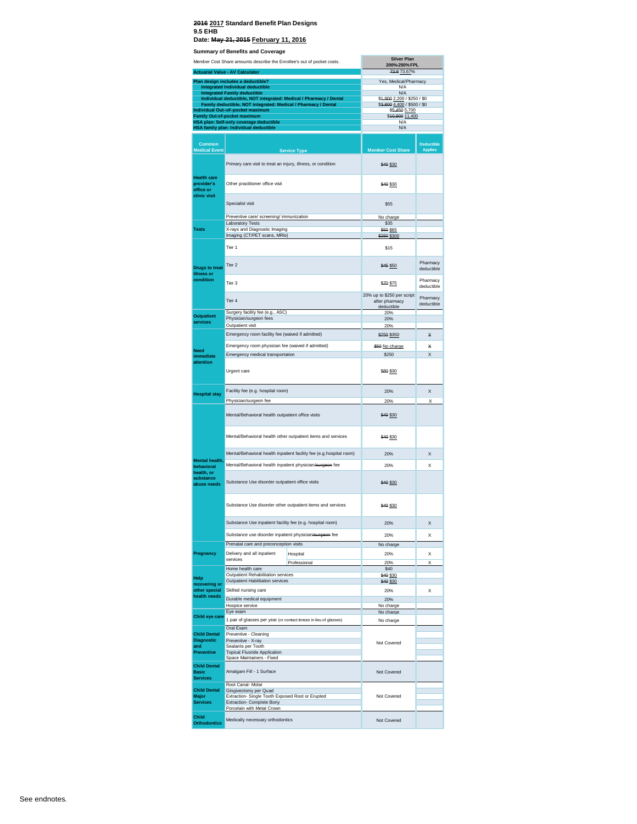|                                               | <b>Summary of Benefits and Coverage</b>                                                                          | <b>Silver Plan</b>                                         |                                     |
|-----------------------------------------------|------------------------------------------------------------------------------------------------------------------|------------------------------------------------------------|-------------------------------------|
|                                               | Member Cost Share amounts describe the Enrollee's out of pocket costs.<br><b>Actuarial Value - AV Calculator</b> | 200%-250% FPL<br>72.8 73.67%                               |                                     |
|                                               | Plan design includes a deductible?                                                                               | Yes, Medical/Pharmacy                                      |                                     |
|                                               | <b>Integrated Individual deductible</b><br><b>Integrated Family deductible</b>                                   | N/A<br>N/A                                                 |                                     |
|                                               | Individual deductible, NOT integrated: Medical / Pharmacy / Dental                                               | \$4,900 2,200 / \$250 / \$0                                |                                     |
|                                               | Family deductible, NOT integrated: Medical / Pharmacy / Dental<br>Individual Out-of-pocket maximum               | \$3,800 4,400 / \$500 / \$0<br>\$5,450 5,700               |                                     |
|                                               | <b>Family Out-of-pocket maximum</b><br>HSA plan: Self-only coverage deductible                                   | \$40,900 11,400<br>N/A                                     |                                     |
|                                               | <b>HSA family plan: Individual deductible</b>                                                                    | N/A                                                        |                                     |
| Common<br><b>Medical Event</b>                | <b>Service Type</b>                                                                                              | <b>Member Cost Share</b>                                   | <b>Deductible</b><br><b>Applies</b> |
|                                               | Primary care visit to treat an injury, illness, or condition                                                     | \$40 \$30                                                  |                                     |
| <b>Health care</b><br>provider's<br>office or | Other practitioner office visit                                                                                  | \$40 \$30                                                  |                                     |
| clinic visit                                  | Specialist visit                                                                                                 | \$55                                                       |                                     |
|                                               | Preventive care/ screening/ immunization<br>Laboratory Tests                                                     | No charge<br>\$35                                          |                                     |
| <b>Tests</b>                                  | X-rays and Diagnostic Imaging                                                                                    | \$50 \$65                                                  |                                     |
|                                               | Imaging (CT/PET scans, MRIs)                                                                                     | \$250 \$300                                                |                                     |
|                                               | Tier 1                                                                                                           | \$15                                                       |                                     |
| <b>Drugs to treat</b><br>illness or           | Tier <sub>2</sub>                                                                                                | \$45 \$50                                                  | Pharmacy<br>deductible              |
| condition                                     | Tier 3                                                                                                           | \$70 \$75                                                  | Pharmacy<br>deductible              |
|                                               | Tier 4                                                                                                           | 20% up to \$250 per script<br>after pharmacy<br>deductible | Pharmacy<br>deductible              |
| <b>Outpatient</b>                             | Surgery facility fee (e.g., ASC)                                                                                 | 20%                                                        |                                     |
| services                                      | Physician/surgeon fees<br>Outpatient visit                                                                       | 20%<br>20%                                                 |                                     |
|                                               | Emergency room facility fee (waived if admitted)                                                                 | \$250 \$350                                                | ×                                   |
|                                               | Emergency room physician fee (waived if admitted)                                                                | \$50 No charge                                             | ¥                                   |
| <b>Need</b><br>immediate                      | Emergency medical transportation                                                                                 | \$250                                                      | X                                   |
| attention                                     | Urgent care                                                                                                      | \$80 \$30                                                  |                                     |
| <b>Hospital stay</b>                          | Facility fee (e.g. hospital room)                                                                                | 20%                                                        | X                                   |
|                                               | Physician/surgeon fee                                                                                            | 20%                                                        | X                                   |
|                                               | Mental/Behavioral health outpatient office visits                                                                | \$40 \$30                                                  |                                     |
|                                               | Mental/Behavioral health other outpatient items and services                                                     | \$40 \$30                                                  |                                     |
|                                               | Mental/Behavioral health inpatient facility fee (e.g.hospital room)                                              | 20%                                                        | X                                   |
| Mental health,<br>behavioral                  | Mental/Behavioral health inpatient physician/surgeon fee                                                         | 20%                                                        | Χ                                   |
| health, or<br>substance<br>abuse needs        | Substance Use disorder outpatient office visits                                                                  | \$40 \$30                                                  |                                     |
|                                               | Substance Use disorder other outpatient items and services                                                       | \$40 \$30                                                  |                                     |
|                                               | Substance Use inpatient facility fee (e.g. hospital room)                                                        | 20%                                                        | X                                   |
|                                               | Substance use disorder inpatient physician/surgeon fee                                                           | 20%                                                        | X                                   |
|                                               | Prenatal care and preconception visits                                                                           | No charge                                                  |                                     |
| Pregnancy                                     | Delivery and all inpatient<br>Hospital<br>services                                                               | 20%                                                        | X                                   |
|                                               | Professional<br>Home health care                                                                                 | 20%<br>\$40                                                | X                                   |
| Help                                          | Outpatient Rehabilitation services                                                                               | \$40 \$30                                                  |                                     |
| recovering or<br>other special                | Outpatient Habilitation services<br>Skilled nursing care                                                         | \$40 \$30<br>20%                                           | X                                   |
| health needs                                  | Durable medical equipment                                                                                        | 20%                                                        |                                     |
|                                               | Hospice service                                                                                                  | No charge                                                  |                                     |
| Child eye care                                | Eye exam<br>1 pair of glasses per year (or contact lenses in lieu of glasses)                                    | No charge<br>No charge                                     |                                     |
|                                               | Oral Exam                                                                                                        |                                                            |                                     |
| <b>Child Dental</b>                           | Preventive - Cleaning                                                                                            |                                                            |                                     |
| <b>Diagnostic</b><br>and                      | Preventive - X-ray<br>Sealants per Tooth                                                                         | Not Covered                                                |                                     |
| <b>Preventive</b>                             | <b>Topical Fluoride Application</b><br>Space Maintainers - Fixed                                                 |                                                            |                                     |
| <b>Child Dental</b><br><b>Basic</b>           | Amalgam Fill - 1 Surface                                                                                         | Not Covered                                                |                                     |
| <b>Services</b>                               | Root Canal- Molar                                                                                                |                                                            |                                     |
| <b>Child Dental</b><br>Major                  | Gingivectomy per Quad<br>Extraction- Single Tooth Exposed Root or Erupted                                        | Not Covered                                                |                                     |
| <b>Services</b>                               | Extraction- Complete Bony                                                                                        |                                                            |                                     |
| Child                                         | Porcelain with Metal Crown                                                                                       |                                                            |                                     |
| <b>Orthodontics</b>                           | Medically necessary orthodontics                                                                                 | Not Covered                                                |                                     |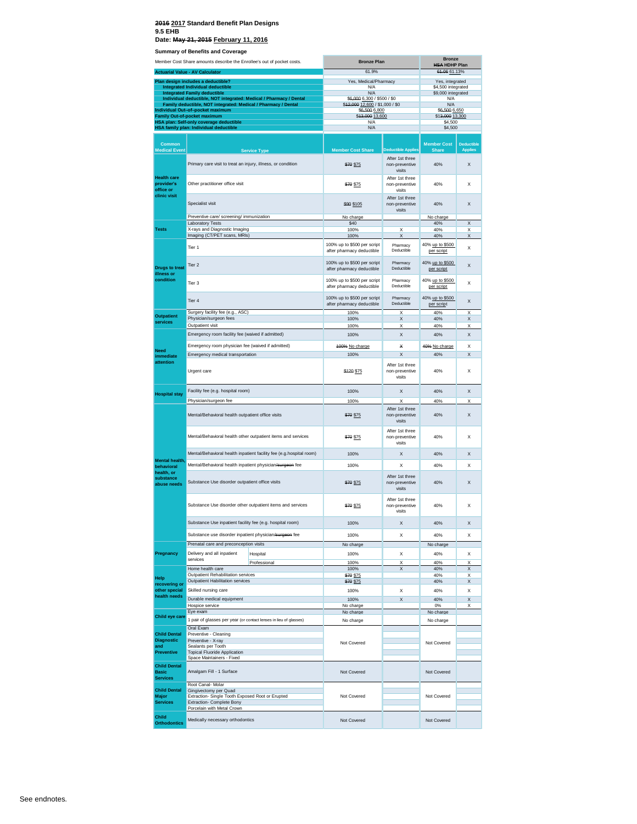### **2016 2017 Standard Benefit Plan Designs 9.5 EHB**

**Date: May 21, 2015 February 11, 2016**

**Summary of Benefits and Coverage**

| Member Cost Share amounts describe the Enrollee's out of pocket costs.<br><b>Actuarial Value - AV Calculator</b> |                                                                                                           | <b>Bronze Plan</b><br>61.9% |                                                          | <b>Bronze</b><br><b>HSA HDHP Plan</b><br>64.06 61.13% |                                       |                                     |
|------------------------------------------------------------------------------------------------------------------|-----------------------------------------------------------------------------------------------------------|-----------------------------|----------------------------------------------------------|-------------------------------------------------------|---------------------------------------|-------------------------------------|
|                                                                                                                  | Plan design includes a deductible?                                                                        |                             | Yes, Medical/Pharmacy                                    |                                                       |                                       |                                     |
|                                                                                                                  | Integrated Individual deductible                                                                          |                             | N/A                                                      |                                                       | Yes, integrated<br>\$4,500 integrated |                                     |
|                                                                                                                  | <b>Integrated Family deductible</b><br>Individual deductible, NOT integrated: Medical / Pharmacy / Dental |                             | N/A<br>\$6,000 6,300 / \$500 / \$0                       |                                                       | \$9,000 integrated<br>N/A             |                                     |
|                                                                                                                  | Family deductible, NOT integrated: Medical / Pharmacy / Dental                                            |                             | \$42,000 12,600 / \$1,000 / \$0                          |                                                       | N/A                                   |                                     |
|                                                                                                                  | Individual Out-of-pocket maximum<br>Family Out-of-pocket maximum                                          |                             | \$6,500 6,800<br>\$43,000 13,600                         |                                                       | \$6,500 6,650<br>\$13,000 13,300      |                                     |
|                                                                                                                  | <b>HSA plan: Self-only coverage deductible</b>                                                            |                             | N/A                                                      |                                                       | \$4,500                               |                                     |
|                                                                                                                  | HSA family plan: Individual deductible                                                                    |                             | N/A                                                      |                                                       | \$4,500                               |                                     |
|                                                                                                                  |                                                                                                           |                             |                                                          |                                                       |                                       |                                     |
| Common<br><b>Medical Event</b>                                                                                   |                                                                                                           | <b>Service Type</b>         | <b>Member Cost Share</b>                                 | <b>Deductible Applies</b><br>After 1st three          | <b>Member Cost</b><br><b>Share</b>    | <b>Deductible</b><br><b>Applies</b> |
| <b>Health care</b>                                                                                               | Primary care visit to treat an injury, illness, or condition                                              |                             | \$70 \$75                                                | non-preventive<br>visits<br>After 1st three           | 40%                                   | X                                   |
| provider's<br>office or<br>clinic visit                                                                          | Other practitioner office visit                                                                           |                             | \$70 \$75                                                | non-preventive<br>visits                              | 40%                                   | X                                   |
|                                                                                                                  | Specialist visit                                                                                          |                             | \$99 \$105                                               | After 1st three<br>non-preventive<br>visits           | 40%                                   | X                                   |
|                                                                                                                  | Preventive care/ screening/ immunization                                                                  |                             | No charge                                                |                                                       | No charge                             |                                     |
| <b>Tests</b>                                                                                                     | <b>Laboratory Tests</b><br>X-rays and Diagnostic Imaging                                                  |                             | \$40<br>100%                                             | X                                                     | 40%<br>40%                            | X<br>X                              |
|                                                                                                                  | Imaging (CT/PET scans, MRIs)                                                                              |                             | 100%                                                     | $\times$                                              | 40%                                   | $\times$                            |
|                                                                                                                  | Tier 1                                                                                                    |                             | 100% up to \$500 per script<br>after pharmacy deductible | Pharmacy<br>Deductible                                | 40% up to \$500<br>per script         | X                                   |
| <b>Drugs to treat</b><br>illness or                                                                              | Tier <sub>2</sub>                                                                                         |                             | 100% up to \$500 per script<br>after pharmacy deductible | Pharmacy<br>Deductible                                | 40% up to \$500<br>per script         | X                                   |
| condition                                                                                                        | Tier <sub>3</sub>                                                                                         |                             | 100% up to \$500 per script<br>after pharmacy deductible | Pharmacy<br>Deductible                                | 40% up to \$500<br>per script         | X                                   |
|                                                                                                                  | Tier <sub>4</sub>                                                                                         |                             | 100% up to \$500 per script<br>after pharmacy deductible | Pharmacy<br>Deductible                                | 40% up to \$500<br>per script         | X                                   |
| <b>Outpatient</b>                                                                                                | Surgery facility fee (e.g., ASC)<br>Physician/surgeon fees                                                |                             | 100%<br>100%                                             | X<br>X                                                | 40%<br>40%                            | $\times$<br>$\mathsf{x}$            |
| services                                                                                                         | Outpatient visit                                                                                          |                             | 100%                                                     | Х                                                     | 40%                                   | X                                   |
|                                                                                                                  | Emergency room facility fee (waived if admitted)                                                          |                             | 100%                                                     | X                                                     | 40%                                   | X                                   |
| <b>Need</b>                                                                                                      | Emergency room physician fee (waived if admitted)                                                         |                             | 100% No charge                                           | ×                                                     | 40% No charge                         | X                                   |
| immediate                                                                                                        | Emergency medical transportation                                                                          |                             | 100%                                                     | X                                                     | 40%                                   | X                                   |
| attention                                                                                                        | Urgent care                                                                                               |                             | \$120 \$75                                               | After 1st three<br>non-preventive<br>visits           | 40%                                   | X                                   |
| <b>Hospital stay</b>                                                                                             | Facility fee (e.g. hospital room)                                                                         |                             | 100%                                                     | X                                                     | 40%                                   | X                                   |
|                                                                                                                  | Physician/surgeon fee                                                                                     |                             | 100%                                                     | X                                                     | 40%                                   | X                                   |
|                                                                                                                  | Mental/Behavioral health outpatient office visits                                                         |                             | \$70 \$75                                                | After 1st three<br>non-preventive<br>visits           | 40%                                   | X                                   |
|                                                                                                                  | Mental/Behavioral health other outpatient items and services                                              |                             | \$70 \$75                                                | After 1st three<br>non-preventive<br>visits           | 40%                                   | X                                   |
|                                                                                                                  | Mental/Behavioral health inpatient facility fee (e.g.hospital room)                                       |                             | 100%                                                     | X                                                     | 40%                                   | X                                   |
| Mental health,<br>behavioral                                                                                     | Mental/Behavioral health inpatient physician/surgeon fee                                                  |                             | 100%                                                     | X                                                     | 40%                                   | $\mathsf{x}$                        |
| health, or<br>substance<br>abuse needs                                                                           | Substance Use disorder outpatient office visits                                                           |                             | \$70 \$75                                                | After 1st three<br>non-preventive                     | 40%                                   | X                                   |
|                                                                                                                  | Substance Use disorder other outpatient items and services                                                |                             |                                                          | visits<br>After 1st three                             |                                       |                                     |
|                                                                                                                  |                                                                                                           |                             | \$70 \$75                                                | non-preventive<br>visits                              | 40%                                   | X                                   |
|                                                                                                                  | Substance Use inpatient facility fee (e.g. hospital room)                                                 |                             | 100%                                                     | х                                                     | 40%                                   | х                                   |
|                                                                                                                  | Substance use disorder inpatient physician/surgeon fee                                                    |                             | 100%                                                     | X                                                     | 40%                                   | X                                   |
|                                                                                                                  | Prenatal care and preconception visits                                                                    |                             | No charge                                                |                                                       | No charge                             |                                     |
| Pregnancy                                                                                                        | Delivery and all inpatient                                                                                | Hospital                    | 100%                                                     | X                                                     | 40%                                   | X                                   |
|                                                                                                                  | services                                                                                                  | Professional                | 100%                                                     | X                                                     | 40%                                   | X                                   |
|                                                                                                                  | Home health care<br>Outpatient Rehabilitation services                                                    |                             | 100%<br>\$70 \$75                                        | X                                                     | 40%<br>40%                            | X<br>X                              |
| Help<br>recovering or                                                                                            | Outpatient Habilitation services                                                                          |                             | \$70 \$75                                                |                                                       | 40%                                   | X                                   |
| other special                                                                                                    | Skilled nursing care                                                                                      |                             | 100%                                                     | X                                                     | 40%                                   | X                                   |
| health needs                                                                                                     | Durable medical equipment                                                                                 |                             | 100%                                                     | X                                                     | 40%                                   | X                                   |
|                                                                                                                  | Hospice service                                                                                           |                             | No charge                                                |                                                       | 0%                                    | X                                   |
| Child eye care                                                                                                   | Eye exam<br>1 pair of glasses per year (or contact lenses in lieu of glasses)                             |                             | No charge<br>No charge                                   |                                                       | No charge<br>No charge                |                                     |
|                                                                                                                  | Oral Exam                                                                                                 |                             |                                                          |                                                       |                                       |                                     |
| <b>Child Dental</b><br><b>Diagnostic</b>                                                                         | Preventive - Cleaning                                                                                     |                             |                                                          |                                                       |                                       |                                     |
| and                                                                                                              | Preventive - X-ray<br>Sealants per Tooth                                                                  |                             | Not Covered                                              |                                                       | Not Covered                           |                                     |
| Preventive                                                                                                       | <b>Topical Fluoride Application</b>                                                                       |                             |                                                          |                                                       |                                       |                                     |
| <b>Child Dental</b>                                                                                              | Space Maintainers - Fixed                                                                                 |                             |                                                          |                                                       |                                       |                                     |
| <b>Basic</b><br><b>Services</b>                                                                                  | Amalgam Fill - 1 Surface                                                                                  |                             | Not Covered                                              |                                                       | Not Covered                           |                                     |
| <b>Child Dental</b>                                                                                              | Root Canal- Molar<br>Gingivectomy per Quad                                                                |                             |                                                          |                                                       |                                       |                                     |
| Major                                                                                                            | Extraction- Single Tooth Exposed Root or Erupted                                                          |                             | Not Covered                                              |                                                       | Not Covered                           |                                     |
| <b>Services</b>                                                                                                  | Extraction- Complete Bony<br>Porcelain with Metal Crown                                                   |                             |                                                          |                                                       |                                       |                                     |
| <b>Child</b>                                                                                                     | Medically necessary orthodontics                                                                          |                             | Not Covered                                              |                                                       | Not Covered                           |                                     |
| <b>Orthodontics</b>                                                                                              |                                                                                                           |                             |                                                          |                                                       |                                       |                                     |